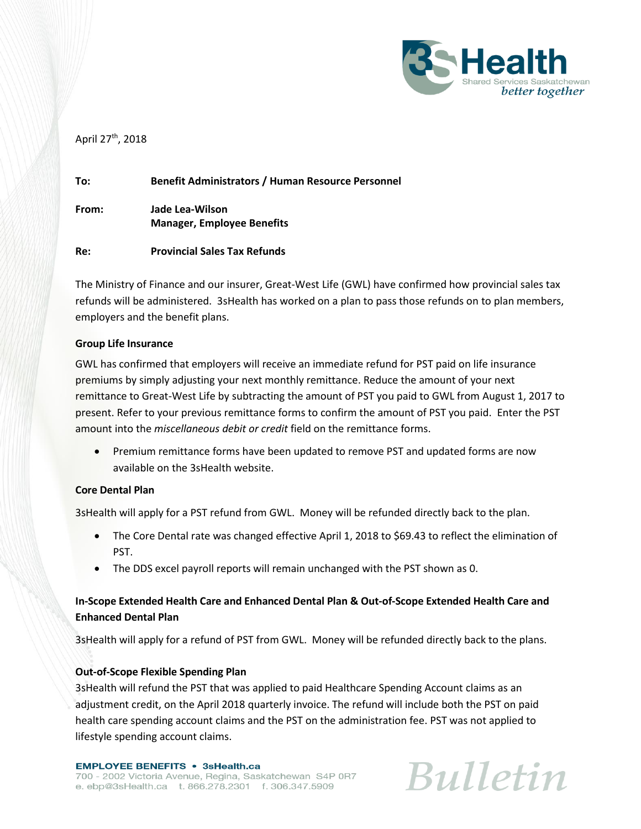

## April 27<sup>th</sup>, 2018

| To:   | <b>Benefit Administrators / Human Resource Personnel</b> |
|-------|----------------------------------------------------------|
| From: | Jade Lea-Wilson<br><b>Manager, Employee Benefits</b>     |
| Re:   | <b>Provincial Sales Tax Refunds</b>                      |

The Ministry of Finance and our insurer, Great-West Life (GWL) have confirmed how provincial sales tax refunds will be administered. 3sHealth has worked on a plan to pass those refunds on to plan members, employers and the benefit plans.

### **Group Life Insurance**

GWL has confirmed that employers will receive an immediate refund for PST paid on life insurance premiums by simply adjusting your next monthly remittance. Reduce the amount of your next remittance to Great-West Life by subtracting the amount of PST you paid to GWL from August 1, 2017 to present. Refer to your previous remittance forms to confirm the amount of PST you paid. Enter the PST amount into the *miscellaneous debit or credit* field on the remittance forms.

 Premium remittance forms have been updated to remove PST and updated forms are now available on the 3sHealth website.

## **Core Dental Plan**

3sHealth will apply for a PST refund from GWL. Money will be refunded directly back to the plan.

- The Core Dental rate was changed effective April 1, 2018 to \$69.43 to reflect the elimination of PST.
- The DDS excel payroll reports will remain unchanged with the PST shown as 0.

# **In-Scope Extended Health Care and Enhanced Dental Plan & Out-of-Scope Extended Health Care and Enhanced Dental Plan**

3sHealth will apply for a refund of PST from GWL. Money will be refunded directly back to the plans.

## **Out-of-Scope Flexible Spending Plan**

3sHealth will refund the PST that was applied to paid Healthcare Spending Account claims as an adjustment credit, on the April 2018 quarterly invoice. The refund will include both the PST on paid health care spending account claims and the PST on the administration fee. PST was not applied to lifestyle spending account claims.

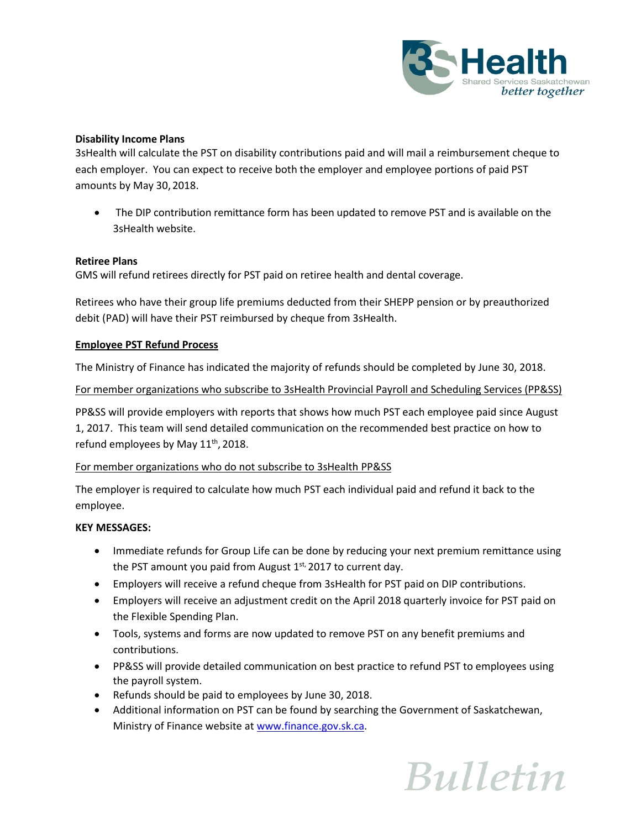

## **Disability Income Plans**

3sHealth will calculate the PST on disability contributions paid and will mail a reimbursement cheque to each employer. You can expect to receive both the employer and employee portions of paid PST amounts by May 30, 2018.

 The DIP contribution remittance form has been updated to remove PST and is available on the 3sHealth website.

#### **Retiree Plans**

GMS will refund retirees directly for PST paid on retiree health and dental coverage.

Retirees who have their group life premiums deducted from their SHEPP pension or by preauthorized debit (PAD) will have their PST reimbursed by cheque from 3sHealth.

#### **Employee PST Refund Process**

The Ministry of Finance has indicated the majority of refunds should be completed by June 30, 2018.

#### For member organizations who subscribe to 3sHealth Provincial Payroll and Scheduling Services (PP&SS)

PP&SS will provide employers with reports that shows how much PST each employee paid since August 1, 2017. This team will send detailed communication on the recommended best practice on how to refund employees by May  $11^{\text{th}}$ , 2018.

#### For member organizations who do not subscribe to 3sHealth PP&SS

The employer is required to calculate how much PST each individual paid and refund it back to the employee.

#### **KEY MESSAGES:**

- Immediate refunds for Group Life can be done by reducing your next premium remittance using the PST amount you paid from August 1st, 2017 to current day.
- Employers will receive a refund cheque from 3sHealth for PST paid on DIP contributions.
- Employers will receive an adjustment credit on the April 2018 quarterly invoice for PST paid on the Flexible Spending Plan.
- Tools, systems and forms are now updated to remove PST on any benefit premiums and contributions.
- PP&SS will provide detailed communication on best practice to refund PST to employees using the payroll system.
- Refunds should be paid to employees by June 30, 2018.
- Additional information on PST can be found by searching the Government of Saskatchewan, Ministry of Finance website at [www.finance.gov.sk.ca.](http://www.finance.gov.sk.ca/)